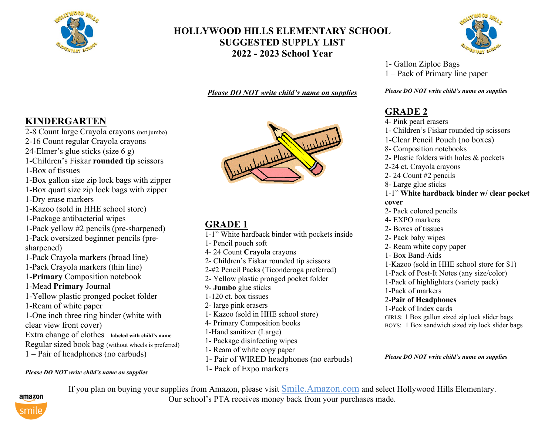

## **HOLLYWOOD HILLS ELEMENTARY SCHOOL SUGGESTED SUPPLY LIST 2022 - 2023 School Year**

*Please DO NOT write child's name on supplies*



- 2-8 Count large Crayola crayons (not jumbo)
- 2-16 Count regular Crayola crayons
- 24-Elmer's glue sticks (size 6 g)
- 1-Children's Fiskar **rounded tip** scissors
- 1-Box of tissues
- 1-Box gallon size zip lock bags with zipper 1-Box quart size zip lock bags with zipper
- 1-Dry erase markers
- 1-Kazoo (sold in HHE school store)
- 1-Package antibacterial wipes
- 1-Pack yellow #2 pencils (pre-sharpened)
- 1-Pack oversized beginner pencils (presharpened)
- 1-Pack Crayola markers (broad line)
- 1-Pack Crayola markers (thin line)
- 1-**Primary** Composition notebook
- 1-Mead **Primary** Journal
- 1-Yellow plastic pronged pocket folder
- 1-Ream of white paper
- 1-One inch three ring binder (white with
- clear view front cover)
- Extra change of clothes **– labeled with child's name**
- Regular sized book bag (without wheels is preferred)
- 1 Pair of headphones (no earbuds)

### *Please DO NOT write child's name on supplies*



# **GRADE 1**

- 1-1" White hardback binder with pockets inside
- 1- Pencil pouch soft
- 4- 24 Count **Crayola** crayons
- 2- Children's Fiskar rounded tip scissors
- 2-#2 Pencil Packs (Ticonderoga preferred)
- 2- Yellow plastic pronged pocket folder
- 9- **Jumbo** glue sticks
- 1-120 ct. box tissues
- 2- large pink erasers
- 1- Kazoo (sold in HHE school store)
- 4- Primary Composition books
- 1-Hand sanitizer (Large)
- 1- Package disinfecting wipes
- 1- Ream of white copy paper
- 1- Pair of WIRED headphones (no earbuds)
- 1- Pack of Expo markers



1- Gallon Ziploc Bags 1 – Pack of Primary line paper

*Please DO NOT write child's name on supplies*

# **GRADE 2**

4- Pink pearl erasers 1- Children's Fiskar rounded tip scissors 1-Clear Pencil Pouch (no boxes) 8- Composition notebooks 2- Plastic folders with holes & pockets 2-24 ct. Crayola crayons 2- 24 Count #2 pencils 8- Large glue sticks 1-1" **White hardback binder w/ clear pocket cover** 2- Pack colored pencils 4- EXPO markers 2- Boxes of tissues 2- Pack baby wipes 2- Ream white copy paper 1- Box Band-Aids 1-Kazoo (sold in HHE school store for \$1) 1-Pack of Post-It Notes (any size/color) 1-Pack of highlighters (variety pack) 1-Pack of markers 2-**Pair of Headphones** 1-Pack of Index cards GIRLS: 1 Box gallon sized zip lock slider bags BOYS: 1 Box sandwich sized zip lock slider bags

*Please DO NOT write child's name on supplies*



If you plan on buying your supplies from Amazon, please visit Smile.Amazon.com and select Hollywood Hills Elementary. Our school's PTA receives money back from your purchases made.